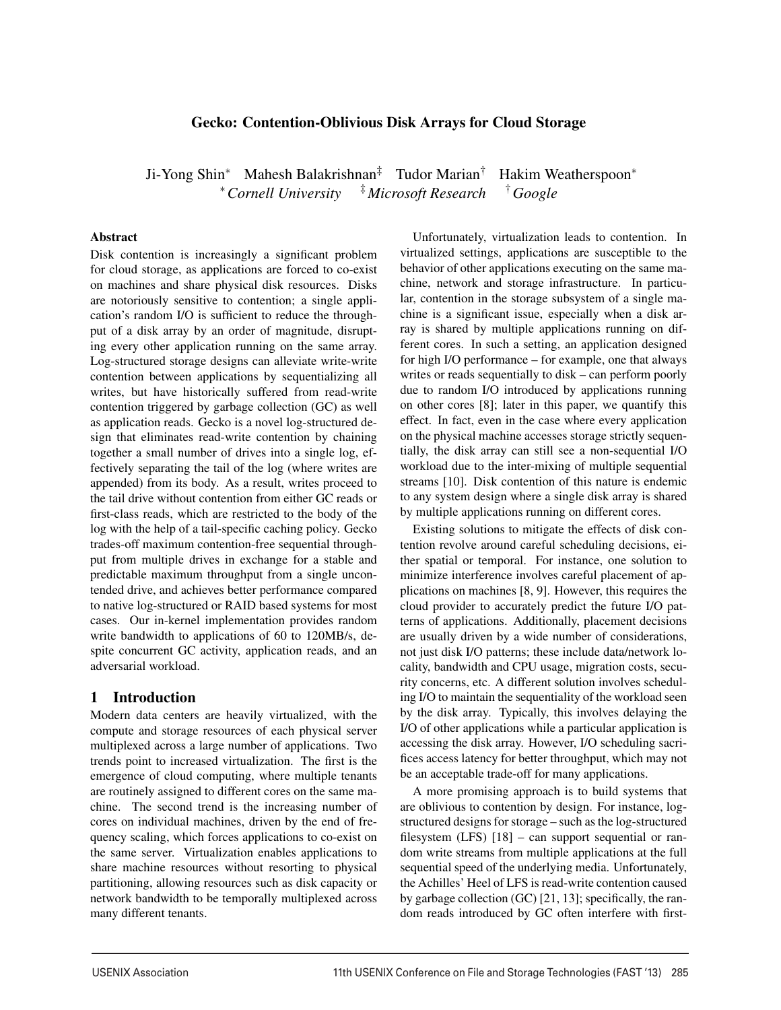# Gecko: Contention-Oblivious Disk Arrays for Cloud Storage

Ji-Yong Shin<sup>∗</sup> Mahesh Balakrishnan‡ Tudor Marian† Hakim Weatherspoon<sup>∗</sup> <sup>∗</sup>*Cornell University* ‡*Microsoft Research* †*Google*

#### Abstract

Disk contention is increasingly a significant problem for cloud storage, as applications are forced to co-exist on machines and share physical disk resources. Disks are notoriously sensitive to contention; a single application's random I/O is sufficient to reduce the throughput of a disk array by an order of magnitude, disrupting every other application running on the same array. Log-structured storage designs can alleviate write-write contention between applications by sequentializing all writes, but have historically suffered from read-write contention triggered by garbage collection (GC) as well as application reads. Gecko is a novel log-structured design that eliminates read-write contention by chaining together a small number of drives into a single log, effectively separating the tail of the log (where writes are appended) from its body. As a result, writes proceed to the tail drive without contention from either GC reads or first-class reads, which are restricted to the body of the log with the help of a tail-specific caching policy. Gecko trades-off maximum contention-free sequential throughput from multiple drives in exchange for a stable and predictable maximum throughput from a single uncontended drive, and achieves better performance compared to native log-structured or RAID based systems for most cases. Our in-kernel implementation provides random write bandwidth to applications of 60 to 120MB/s, despite concurrent GC activity, application reads, and an adversarial workload.

## 1 Introduction

Modern data centers are heavily virtualized, with the compute and storage resources of each physical server multiplexed across a large number of applications. Two trends point to increased virtualization. The first is the emergence of cloud computing, where multiple tenants are routinely assigned to different cores on the same machine. The second trend is the increasing number of cores on individual machines, driven by the end of frequency scaling, which forces applications to co-exist on the same server. Virtualization enables applications to share machine resources without resorting to physical partitioning, allowing resources such as disk capacity or network bandwidth to be temporally multiplexed across many different tenants.

Unfortunately, virtualization leads to contention. In virtualized settings, applications are susceptible to the behavior of other applications executing on the same machine, network and storage infrastructure. In particular, contention in the storage subsystem of a single machine is a significant issue, especially when a disk array is shared by multiple applications running on different cores. In such a setting, an application designed for high I/O performance – for example, one that always writes or reads sequentially to disk – can perform poorly due to random I/O introduced by applications running on other cores [8]; later in this paper, we quantify this effect. In fact, even in the case where every application on the physical machine accesses storage strictly sequentially, the disk array can still see a non-sequential I/O workload due to the inter-mixing of multiple sequential streams [10]. Disk contention of this nature is endemic to any system design where a single disk array is shared by multiple applications running on different cores.

Existing solutions to mitigate the effects of disk contention revolve around careful scheduling decisions, either spatial or temporal. For instance, one solution to minimize interference involves careful placement of applications on machines [8, 9]. However, this requires the cloud provider to accurately predict the future I/O patterns of applications. Additionally, placement decisions are usually driven by a wide number of considerations, not just disk I/O patterns; these include data/network locality, bandwidth and CPU usage, migration costs, security concerns, etc. A different solution involves scheduling I/O to maintain the sequentiality of the workload seen by the disk array. Typically, this involves delaying the I/O of other applications while a particular application is accessing the disk array. However, I/O scheduling sacrifices access latency for better throughput, which may not be an acceptable trade-off for many applications.

A more promising approach is to build systems that are oblivious to contention by design. For instance, logstructured designs for storage – such as the log-structured filesystem (LFS) [18] – can support sequential or random write streams from multiple applications at the full sequential speed of the underlying media. Unfortunately, the Achilles' Heel of LFS is read-write contention caused by garbage collection (GC) [21, 13]; specifically, the random reads introduced by GC often interfere with first-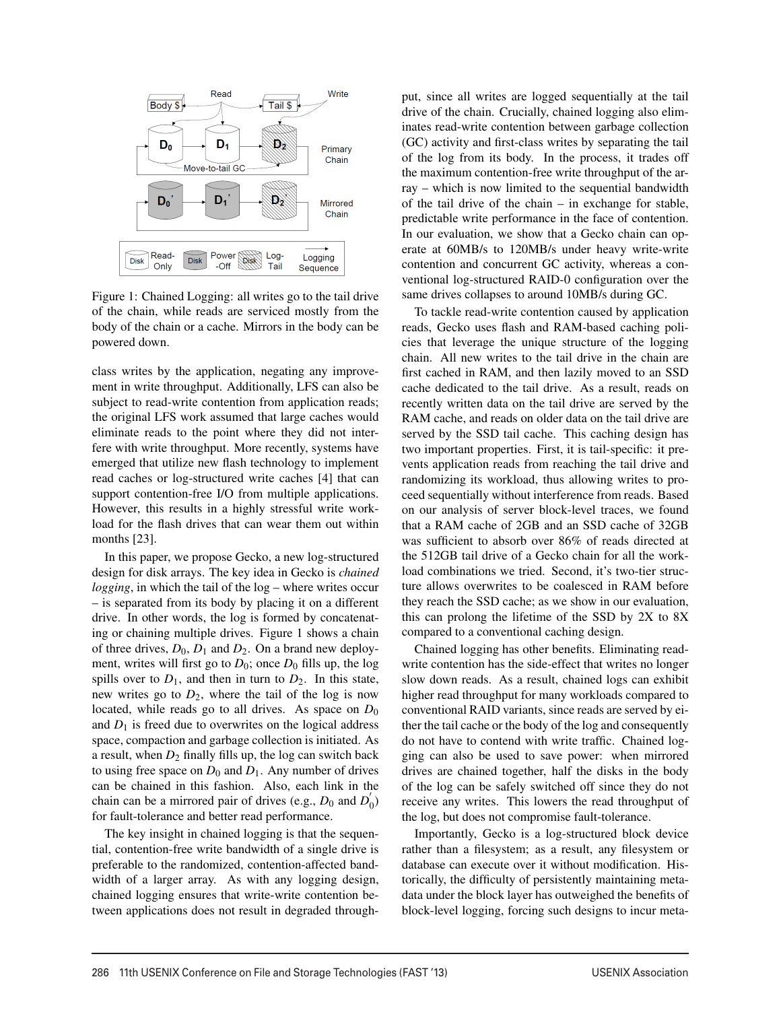

Figure 1: Chained Logging: all writes go to the tail drive of the chain, while reads are serviced mostly from the body of the chain or a cache. Mirrors in the body can be powered down.

class writes by the application, negating any improvement in write throughput. Additionally, LFS can also be subject to read-write contention from application reads; the original LFS work assumed that large caches would eliminate reads to the point where they did not interfere with write throughput. More recently, systems have emerged that utilize new flash technology to implement read caches or log-structured write caches [4] that can support contention-free I/O from multiple applications. However, this results in a highly stressful write workload for the flash drives that can wear them out within months [23].

In this paper, we propose Gecko, a new log-structured design for disk arrays. The key idea in Gecko is *chained logging*, in which the tail of the log – where writes occur – is separated from its body by placing it on a different drive. In other words, the log is formed by concatenating or chaining multiple drives. Figure 1 shows a chain of three drives,  $D_0$ ,  $D_1$  and  $D_2$ . On a brand new deployment, writes will first go to  $D_0$ ; once  $D_0$  fills up, the log spills over to  $D_1$ , and then in turn to  $D_2$ . In this state, new writes go to  $D_2$ , where the tail of the log is now located, while reads go to all drives. As space on  $D_0$ and  $D_1$  is freed due to overwrites on the logical address space, compaction and garbage collection is initiated. As a result, when  $D_2$  finally fills up, the log can switch back to using free space on  $D_0$  and  $D_1$ . Any number of drives can be chained in this fashion. Also, each link in the chain can be a mirrored pair of drives (e.g.,  $D_0$  and  $D'_0$ ) for fault-tolerance and better read performance.

The key insight in chained logging is that the sequential, contention-free write bandwidth of a single drive is preferable to the randomized, contention-affected bandwidth of a larger array. As with any logging design, chained logging ensures that write-write contention between applications does not result in degraded throughput, since all writes are logged sequentially at the tail drive of the chain. Crucially, chained logging also eliminates read-write contention between garbage collection (GC) activity and first-class writes by separating the tail of the log from its body. In the process, it trades off the maximum contention-free write throughput of the array – which is now limited to the sequential bandwidth of the tail drive of the chain – in exchange for stable, predictable write performance in the face of contention. In our evaluation, we show that a Gecko chain can operate at 60MB/s to 120MB/s under heavy write-write contention and concurrent GC activity, whereas a conventional log-structured RAID-0 configuration over the same drives collapses to around 10MB/s during GC.

To tackle read-write contention caused by application reads, Gecko uses flash and RAM-based caching policies that leverage the unique structure of the logging chain. All new writes to the tail drive in the chain are first cached in RAM, and then lazily moved to an SSD cache dedicated to the tail drive. As a result, reads on recently written data on the tail drive are served by the RAM cache, and reads on older data on the tail drive are served by the SSD tail cache. This caching design has two important properties. First, it is tail-specific: it prevents application reads from reaching the tail drive and randomizing its workload, thus allowing writes to proceed sequentially without interference from reads. Based on our analysis of server block-level traces, we found that a RAM cache of 2GB and an SSD cache of 32GB was sufficient to absorb over 86% of reads directed at the 512GB tail drive of a Gecko chain for all the workload combinations we tried. Second, it's two-tier structure allows overwrites to be coalesced in RAM before they reach the SSD cache; as we show in our evaluation, this can prolong the lifetime of the SSD by 2X to 8X compared to a conventional caching design.

Chained logging has other benefits. Eliminating readwrite contention has the side-effect that writes no longer slow down reads. As a result, chained logs can exhibit higher read throughput for many workloads compared to conventional RAID variants, since reads are served by either the tail cache or the body of the log and consequently do not have to contend with write traffic. Chained logging can also be used to save power: when mirrored drives are chained together, half the disks in the body of the log can be safely switched off since they do not receive any writes. This lowers the read throughput of the log, but does not compromise fault-tolerance.

Importantly, Gecko is a log-structured block device rather than a filesystem; as a result, any filesystem or database can execute over it without modification. Historically, the difficulty of persistently maintaining metadata under the block layer has outweighed the benefits of block-level logging, forcing such designs to incur meta-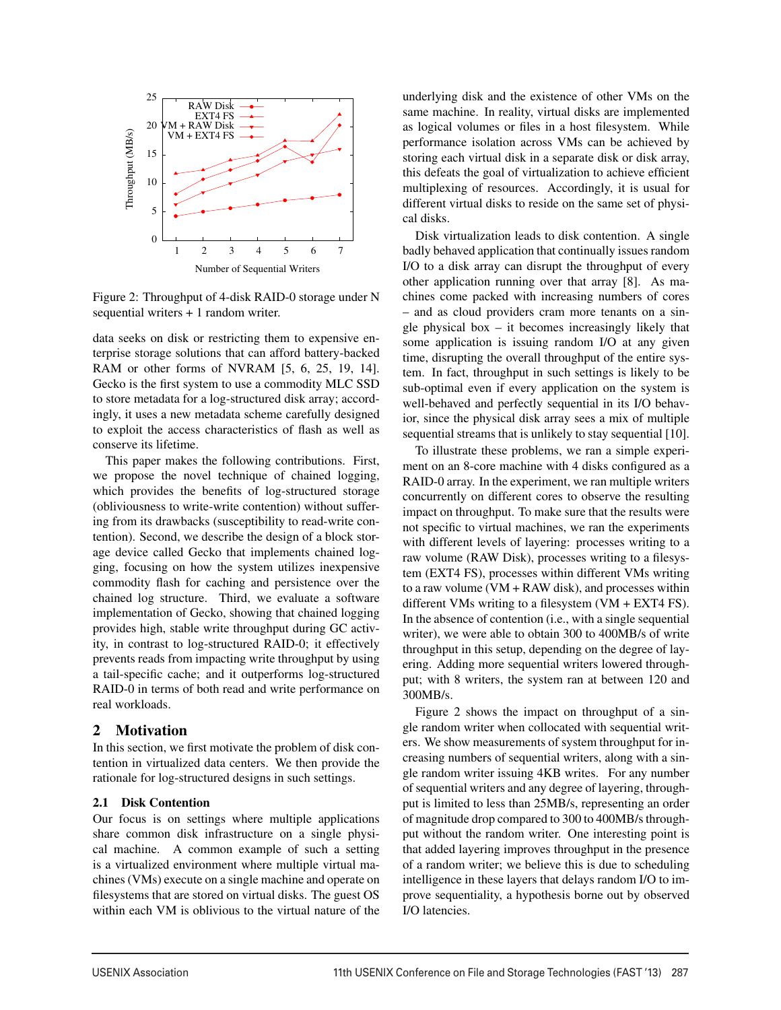

Figure 2: Throughput of 4-disk RAID-0 storage under N sequential writers + 1 random writer.

data seeks on disk or restricting them to expensive enterprise storage solutions that can afford battery-backed RAM or other forms of NVRAM [5, 6, 25, 19, 14]. Gecko is the first system to use a commodity MLC SSD to store metadata for a log-structured disk array; accordingly, it uses a new metadata scheme carefully designed to exploit the access characteristics of flash as well as conserve its lifetime.

This paper makes the following contributions. First, we propose the novel technique of chained logging, which provides the benefits of log-structured storage (obliviousness to write-write contention) without suffering from its drawbacks (susceptibility to read-write contention). Second, we describe the design of a block storage device called Gecko that implements chained logging, focusing on how the system utilizes inexpensive commodity flash for caching and persistence over the chained log structure. Third, we evaluate a software implementation of Gecko, showing that chained logging provides high, stable write throughput during GC activity, in contrast to log-structured RAID-0; it effectively prevents reads from impacting write throughput by using a tail-specific cache; and it outperforms log-structured RAID-0 in terms of both read and write performance on real workloads.

#### 2 Motivation

In this section, we first motivate the problem of disk contention in virtualized data centers. We then provide the rationale for log-structured designs in such settings.

## 2.1 Disk Contention

Our focus is on settings where multiple applications share common disk infrastructure on a single physical machine. A common example of such a setting is a virtualized environment where multiple virtual machines (VMs) execute on a single machine and operate on filesystems that are stored on virtual disks. The guest OS within each VM is oblivious to the virtual nature of the

underlying disk and the existence of other VMs on the same machine. In reality, virtual disks are implemented as logical volumes or files in a host filesystem. While performance isolation across VMs can be achieved by storing each virtual disk in a separate disk or disk array, this defeats the goal of virtualization to achieve efficient multiplexing of resources. Accordingly, it is usual for different virtual disks to reside on the same set of physical disks.

Disk virtualization leads to disk contention. A single badly behaved application that continually issues random I/O to a disk array can disrupt the throughput of every other application running over that array [8]. As machines come packed with increasing numbers of cores – and as cloud providers cram more tenants on a single physical box  $-$  it becomes increasingly likely that some application is issuing random I/O at any given time, disrupting the overall throughput of the entire system. In fact, throughput in such settings is likely to be sub-optimal even if every application on the system is well-behaved and perfectly sequential in its I/O behavior, since the physical disk array sees a mix of multiple sequential streams that is unlikely to stay sequential [10].

To illustrate these problems, we ran a simple experiment on an 8-core machine with 4 disks configured as a RAID-0 array. In the experiment, we ran multiple writers concurrently on different cores to observe the resulting impact on throughput. To make sure that the results were not specific to virtual machines, we ran the experiments with different levels of layering: processes writing to a raw volume (RAW Disk), processes writing to a filesystem (EXT4 FS), processes within different VMs writing to a raw volume  $(VM + RAW \, disk)$ , and processes within different VMs writing to a filesystem (VM + EXT4 FS). In the absence of contention (i.e., with a single sequential writer), we were able to obtain 300 to 400MB/s of write throughput in this setup, depending on the degree of layering. Adding more sequential writers lowered throughput; with 8 writers, the system ran at between 120 and 300MB/s.

Figure 2 shows the impact on throughput of a single random writer when collocated with sequential writers. We show measurements of system throughput for increasing numbers of sequential writers, along with a single random writer issuing 4KB writes. For any number of sequential writers and any degree of layering, throughput is limited to less than 25MB/s, representing an order of magnitude drop compared to 300 to 400MB/s throughput without the random writer. One interesting point is that added layering improves throughput in the presence of a random writer; we believe this is due to scheduling intelligence in these layers that delays random I/O to improve sequentiality, a hypothesis borne out by observed I/O latencies.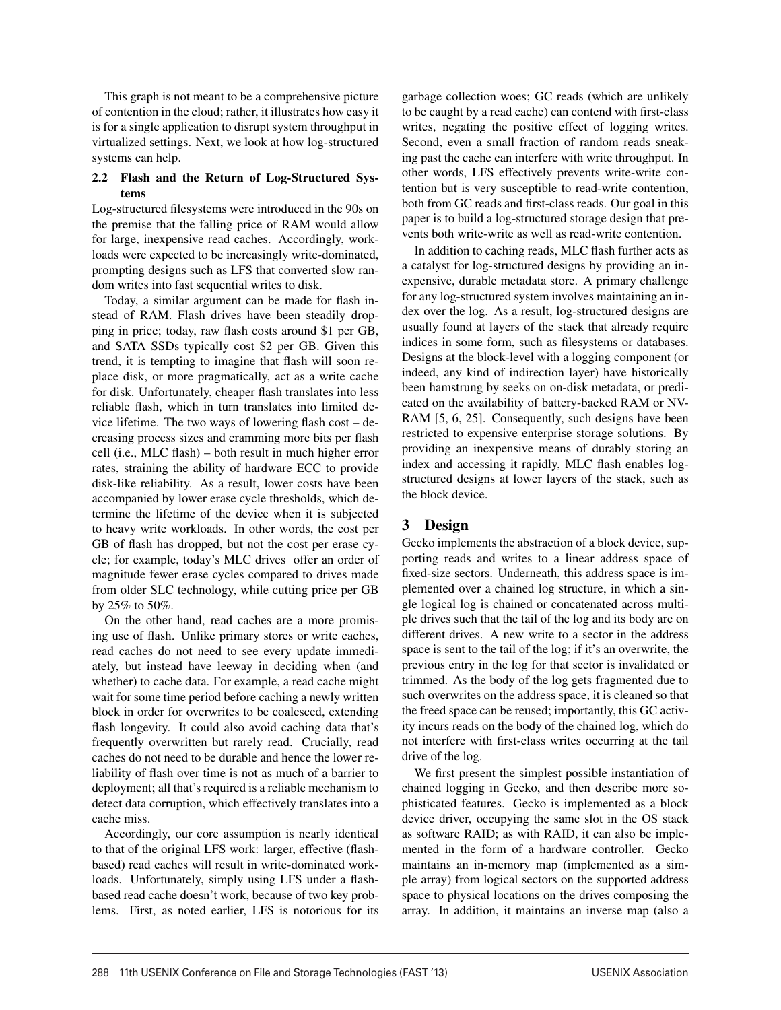This graph is not meant to be a comprehensive picture of contention in the cloud; rather, it illustrates how easy it is for a single application to disrupt system throughput in virtualized settings. Next, we look at how log-structured systems can help.

## 2.2 Flash and the Return of Log-Structured Systems

Log-structured filesystems were introduced in the 90s on the premise that the falling price of RAM would allow for large, inexpensive read caches. Accordingly, workloads were expected to be increasingly write-dominated, prompting designs such as LFS that converted slow random writes into fast sequential writes to disk.

Today, a similar argument can be made for flash instead of RAM. Flash drives have been steadily dropping in price; today, raw flash costs around \$1 per GB, and SATA SSDs typically cost \$2 per GB. Given this trend, it is tempting to imagine that flash will soon replace disk, or more pragmatically, act as a write cache for disk. Unfortunately, cheaper flash translates into less reliable flash, which in turn translates into limited device lifetime. The two ways of lowering flash cost – decreasing process sizes and cramming more bits per flash cell (i.e., MLC flash) – both result in much higher error rates, straining the ability of hardware ECC to provide disk-like reliability. As a result, lower costs have been accompanied by lower erase cycle thresholds, which determine the lifetime of the device when it is subjected to heavy write workloads. In other words, the cost per GB of flash has dropped, but not the cost per erase cycle; for example, today's MLC drives offer an order of magnitude fewer erase cycles compared to drives made from older SLC technology, while cutting price per GB by 25% to 50%.

On the other hand, read caches are a more promising use of flash. Unlike primary stores or write caches, read caches do not need to see every update immediately, but instead have leeway in deciding when (and whether) to cache data. For example, a read cache might wait for some time period before caching a newly written block in order for overwrites to be coalesced, extending flash longevity. It could also avoid caching data that's frequently overwritten but rarely read. Crucially, read caches do not need to be durable and hence the lower reliability of flash over time is not as much of a barrier to deployment; all that's required is a reliable mechanism to detect data corruption, which effectively translates into a cache miss.

Accordingly, our core assumption is nearly identical to that of the original LFS work: larger, effective (flashbased) read caches will result in write-dominated workloads. Unfortunately, simply using LFS under a flashbased read cache doesn't work, because of two key problems. First, as noted earlier, LFS is notorious for its garbage collection woes; GC reads (which are unlikely to be caught by a read cache) can contend with first-class writes, negating the positive effect of logging writes. Second, even a small fraction of random reads sneaking past the cache can interfere with write throughput. In other words, LFS effectively prevents write-write contention but is very susceptible to read-write contention, both from GC reads and first-class reads. Our goal in this paper is to build a log-structured storage design that prevents both write-write as well as read-write contention.

In addition to caching reads, MLC flash further acts as a catalyst for log-structured designs by providing an inexpensive, durable metadata store. A primary challenge for any log-structured system involves maintaining an index over the log. As a result, log-structured designs are usually found at layers of the stack that already require indices in some form, such as filesystems or databases. Designs at the block-level with a logging component (or indeed, any kind of indirection layer) have historically been hamstrung by seeks on on-disk metadata, or predicated on the availability of battery-backed RAM or NV-RAM [5, 6, 25]. Consequently, such designs have been restricted to expensive enterprise storage solutions. By providing an inexpensive means of durably storing an index and accessing it rapidly, MLC flash enables logstructured designs at lower layers of the stack, such as the block device.

# 3 Design

Gecko implements the abstraction of a block device, supporting reads and writes to a linear address space of fixed-size sectors. Underneath, this address space is implemented over a chained log structure, in which a single logical log is chained or concatenated across multiple drives such that the tail of the log and its body are on different drives. A new write to a sector in the address space is sent to the tail of the log; if it's an overwrite, the previous entry in the log for that sector is invalidated or trimmed. As the body of the log gets fragmented due to such overwrites on the address space, it is cleaned so that the freed space can be reused; importantly, this GC activity incurs reads on the body of the chained log, which do not interfere with first-class writes occurring at the tail drive of the log.

We first present the simplest possible instantiation of chained logging in Gecko, and then describe more sophisticated features. Gecko is implemented as a block device driver, occupying the same slot in the OS stack as software RAID; as with RAID, it can also be implemented in the form of a hardware controller. Gecko maintains an in-memory map (implemented as a simple array) from logical sectors on the supported address space to physical locations on the drives composing the array. In addition, it maintains an inverse map (also a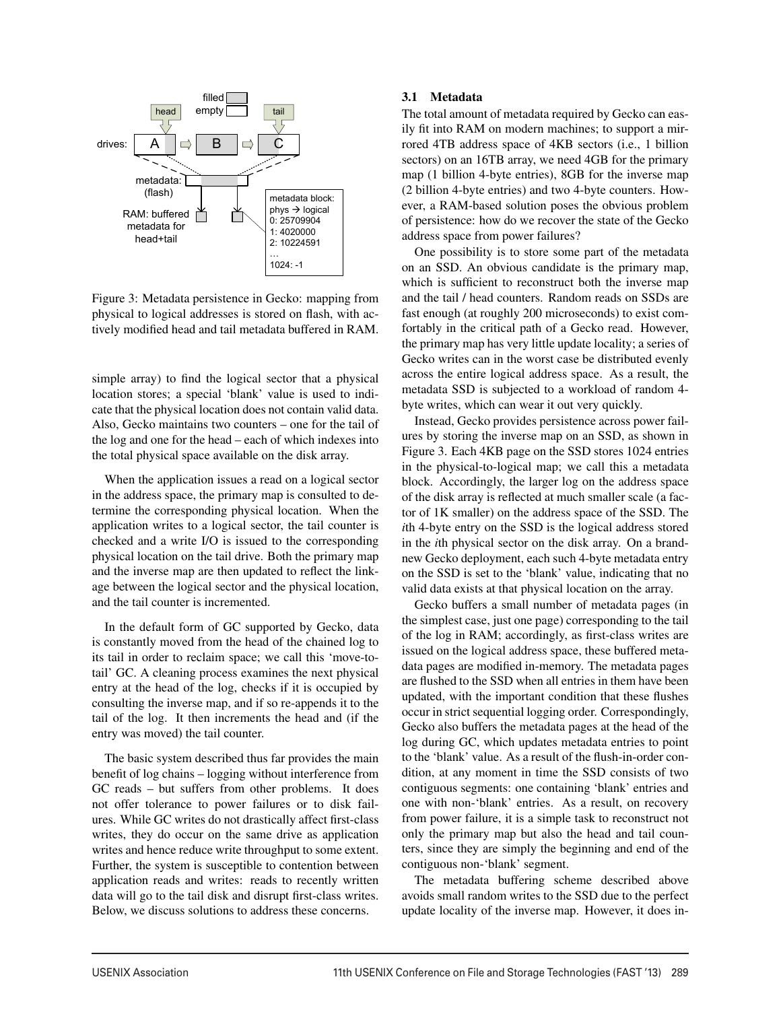

Figure 3: Metadata persistence in Gecko: mapping from physical to logical addresses is stored on flash, with actively modified head and tail metadata buffered in RAM.

simple array) to find the logical sector that a physical location stores; a special 'blank' value is used to indicate that the physical location does not contain valid data. Also, Gecko maintains two counters – one for the tail of the log and one for the head – each of which indexes into the total physical space available on the disk array.

When the application issues a read on a logical sector in the address space, the primary map is consulted to determine the corresponding physical location. When the application writes to a logical sector, the tail counter is checked and a write I/O is issued to the corresponding physical location on the tail drive. Both the primary map and the inverse map are then updated to reflect the linkage between the logical sector and the physical location, and the tail counter is incremented.

In the default form of GC supported by Gecko, data is constantly moved from the head of the chained log to its tail in order to reclaim space; we call this 'move-totail' GC. A cleaning process examines the next physical entry at the head of the log, checks if it is occupied by consulting the inverse map, and if so re-appends it to the tail of the log. It then increments the head and (if the entry was moved) the tail counter.

The basic system described thus far provides the main benefit of log chains – logging without interference from GC reads – but suffers from other problems. It does not offer tolerance to power failures or to disk failures. While GC writes do not drastically affect first-class writes, they do occur on the same drive as application writes and hence reduce write throughput to some extent. Further, the system is susceptible to contention between application reads and writes: reads to recently written data will go to the tail disk and disrupt first-class writes. Below, we discuss solutions to address these concerns.

#### 3.1 Metadata

The total amount of metadata required by Gecko can easily fit into RAM on modern machines; to support a mirrored 4TB address space of 4KB sectors (i.e., 1 billion sectors) on an 16TB array, we need 4GB for the primary map (1 billion 4-byte entries), 8GB for the inverse map (2 billion 4-byte entries) and two 4-byte counters. However, a RAM-based solution poses the obvious problem of persistence: how do we recover the state of the Gecko address space from power failures?

One possibility is to store some part of the metadata on an SSD. An obvious candidate is the primary map, which is sufficient to reconstruct both the inverse map and the tail / head counters. Random reads on SSDs are fast enough (at roughly 200 microseconds) to exist comfortably in the critical path of a Gecko read. However, the primary map has very little update locality; a series of Gecko writes can in the worst case be distributed evenly across the entire logical address space. As a result, the metadata SSD is subjected to a workload of random 4 byte writes, which can wear it out very quickly.

Instead, Gecko provides persistence across power failures by storing the inverse map on an SSD, as shown in Figure 3. Each 4KB page on the SSD stores 1024 entries in the physical-to-logical map; we call this a metadata block. Accordingly, the larger log on the address space of the disk array is reflected at much smaller scale (a factor of 1K smaller) on the address space of the SSD. The *i*th 4-byte entry on the SSD is the logical address stored in the *i*th physical sector on the disk array. On a brandnew Gecko deployment, each such 4-byte metadata entry on the SSD is set to the 'blank' value, indicating that no valid data exists at that physical location on the array.

Gecko buffers a small number of metadata pages (in the simplest case, just one page) corresponding to the tail of the log in RAM; accordingly, as first-class writes are issued on the logical address space, these buffered metadata pages are modified in-memory. The metadata pages are flushed to the SSD when all entries in them have been updated, with the important condition that these flushes occur in strict sequential logging order. Correspondingly, Gecko also buffers the metadata pages at the head of the log during GC, which updates metadata entries to point to the 'blank' value. As a result of the flush-in-order condition, at any moment in time the SSD consists of two contiguous segments: one containing 'blank' entries and one with non-'blank' entries. As a result, on recovery from power failure, it is a simple task to reconstruct not only the primary map but also the head and tail counters, since they are simply the beginning and end of the contiguous non-'blank' segment.

The metadata buffering scheme described above avoids small random writes to the SSD due to the perfect update locality of the inverse map. However, it does in-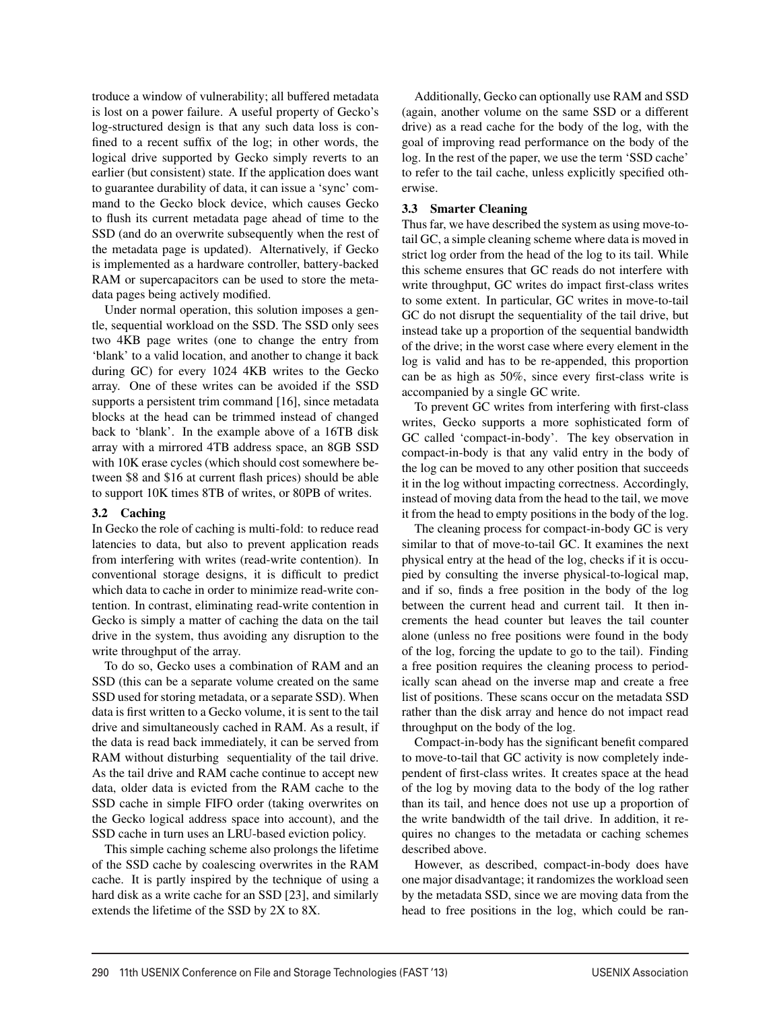troduce a window of vulnerability; all buffered metadata is lost on a power failure. A useful property of Gecko's log-structured design is that any such data loss is confined to a recent suffix of the log; in other words, the logical drive supported by Gecko simply reverts to an earlier (but consistent) state. If the application does want to guarantee durability of data, it can issue a 'sync' command to the Gecko block device, which causes Gecko to flush its current metadata page ahead of time to the SSD (and do an overwrite subsequently when the rest of the metadata page is updated). Alternatively, if Gecko is implemented as a hardware controller, battery-backed RAM or supercapacitors can be used to store the metadata pages being actively modified.

Under normal operation, this solution imposes a gentle, sequential workload on the SSD. The SSD only sees two 4KB page writes (one to change the entry from 'blank' to a valid location, and another to change it back during GC) for every 1024 4KB writes to the Gecko array. One of these writes can be avoided if the SSD supports a persistent trim command [16], since metadata blocks at the head can be trimmed instead of changed back to 'blank'. In the example above of a 16TB disk array with a mirrored 4TB address space, an 8GB SSD with 10K erase cycles (which should cost somewhere between \$8 and \$16 at current flash prices) should be able to support 10K times 8TB of writes, or 80PB of writes.

## 3.2 Caching

In Gecko the role of caching is multi-fold: to reduce read latencies to data, but also to prevent application reads from interfering with writes (read-write contention). In conventional storage designs, it is difficult to predict which data to cache in order to minimize read-write contention. In contrast, eliminating read-write contention in Gecko is simply a matter of caching the data on the tail drive in the system, thus avoiding any disruption to the write throughput of the array.

To do so, Gecko uses a combination of RAM and an SSD (this can be a separate volume created on the same SSD used for storing metadata, or a separate SSD). When data is first written to a Gecko volume, it is sent to the tail drive and simultaneously cached in RAM. As a result, if the data is read back immediately, it can be served from RAM without disturbing sequentiality of the tail drive. As the tail drive and RAM cache continue to accept new data, older data is evicted from the RAM cache to the SSD cache in simple FIFO order (taking overwrites on the Gecko logical address space into account), and the SSD cache in turn uses an LRU-based eviction policy.

This simple caching scheme also prolongs the lifetime of the SSD cache by coalescing overwrites in the RAM cache. It is partly inspired by the technique of using a hard disk as a write cache for an SSD [23], and similarly extends the lifetime of the SSD by 2X to 8X.

Additionally, Gecko can optionally use RAM and SSD (again, another volume on the same SSD or a different drive) as a read cache for the body of the log, with the goal of improving read performance on the body of the log. In the rest of the paper, we use the term 'SSD cache' to refer to the tail cache, unless explicitly specified otherwise.

## 3.3 Smarter Cleaning

Thus far, we have described the system as using move-totail GC, a simple cleaning scheme where data is moved in strict log order from the head of the log to its tail. While this scheme ensures that GC reads do not interfere with write throughput, GC writes do impact first-class writes to some extent. In particular, GC writes in move-to-tail GC do not disrupt the sequentiality of the tail drive, but instead take up a proportion of the sequential bandwidth of the drive; in the worst case where every element in the log is valid and has to be re-appended, this proportion can be as high as 50%, since every first-class write is accompanied by a single GC write.

To prevent GC writes from interfering with first-class writes, Gecko supports a more sophisticated form of GC called 'compact-in-body'. The key observation in compact-in-body is that any valid entry in the body of the log can be moved to any other position that succeeds it in the log without impacting correctness. Accordingly, instead of moving data from the head to the tail, we move it from the head to empty positions in the body of the log.

The cleaning process for compact-in-body GC is very similar to that of move-to-tail GC. It examines the next physical entry at the head of the log, checks if it is occupied by consulting the inverse physical-to-logical map, and if so, finds a free position in the body of the log between the current head and current tail. It then increments the head counter but leaves the tail counter alone (unless no free positions were found in the body of the log, forcing the update to go to the tail). Finding a free position requires the cleaning process to periodically scan ahead on the inverse map and create a free list of positions. These scans occur on the metadata SSD rather than the disk array and hence do not impact read throughput on the body of the log.

Compact-in-body has the significant benefit compared to move-to-tail that GC activity is now completely independent of first-class writes. It creates space at the head of the log by moving data to the body of the log rather than its tail, and hence does not use up a proportion of the write bandwidth of the tail drive. In addition, it requires no changes to the metadata or caching schemes described above.

However, as described, compact-in-body does have one major disadvantage; it randomizes the workload seen by the metadata SSD, since we are moving data from the head to free positions in the log, which could be ran-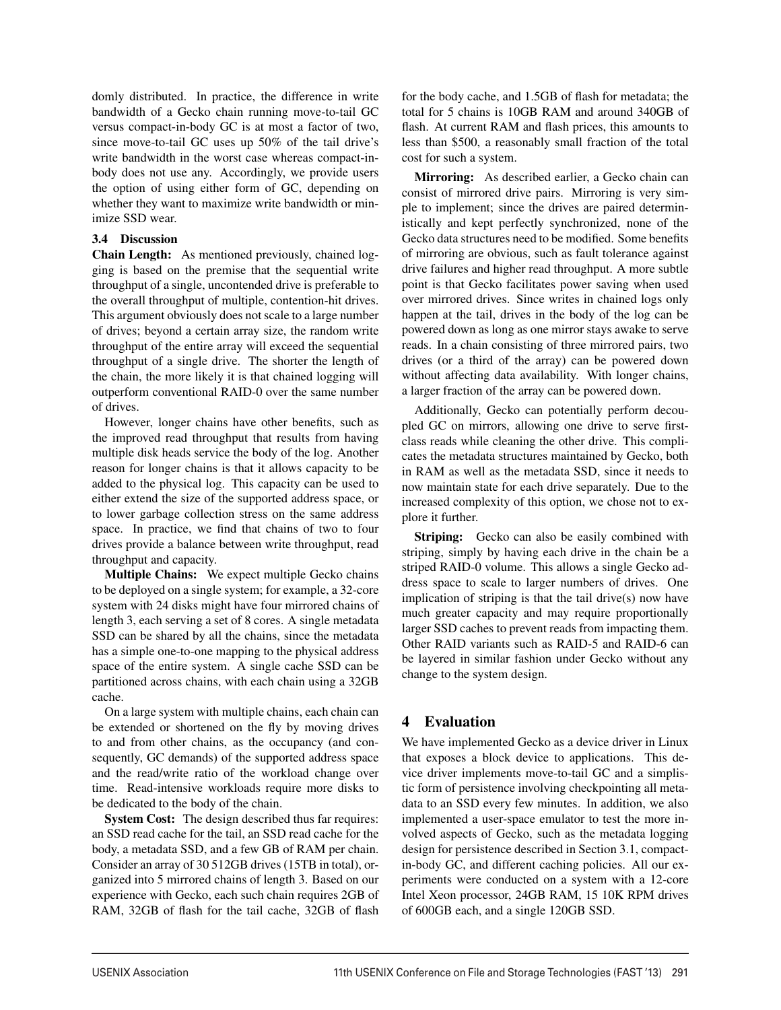domly distributed. In practice, the difference in write bandwidth of a Gecko chain running move-to-tail GC versus compact-in-body GC is at most a factor of two, since move-to-tail GC uses up 50% of the tail drive's write bandwidth in the worst case whereas compact-inbody does not use any. Accordingly, we provide users the option of using either form of GC, depending on whether they want to maximize write bandwidth or minimize SSD wear.

## 3.4 Discussion

Chain Length: As mentioned previously, chained logging is based on the premise that the sequential write throughput of a single, uncontended drive is preferable to the overall throughput of multiple, contention-hit drives. This argument obviously does not scale to a large number of drives; beyond a certain array size, the random write throughput of the entire array will exceed the sequential throughput of a single drive. The shorter the length of the chain, the more likely it is that chained logging will outperform conventional RAID-0 over the same number of drives.

However, longer chains have other benefits, such as the improved read throughput that results from having multiple disk heads service the body of the log. Another reason for longer chains is that it allows capacity to be added to the physical log. This capacity can be used to either extend the size of the supported address space, or to lower garbage collection stress on the same address space. In practice, we find that chains of two to four drives provide a balance between write throughput, read throughput and capacity.

Multiple Chains: We expect multiple Gecko chains to be deployed on a single system; for example, a 32-core system with 24 disks might have four mirrored chains of length 3, each serving a set of 8 cores. A single metadata SSD can be shared by all the chains, since the metadata has a simple one-to-one mapping to the physical address space of the entire system. A single cache SSD can be partitioned across chains, with each chain using a 32GB cache.

On a large system with multiple chains, each chain can be extended or shortened on the fly by moving drives to and from other chains, as the occupancy (and consequently, GC demands) of the supported address space and the read/write ratio of the workload change over time. Read-intensive workloads require more disks to be dedicated to the body of the chain.

System Cost: The design described thus far requires: an SSD read cache for the tail, an SSD read cache for the body, a metadata SSD, and a few GB of RAM per chain. Consider an array of 30 512GB drives (15TB in total), organized into 5 mirrored chains of length 3. Based on our experience with Gecko, each such chain requires 2GB of RAM, 32GB of flash for the tail cache, 32GB of flash

for the body cache, and 1.5GB of flash for metadata; the total for 5 chains is 10GB RAM and around 340GB of flash. At current RAM and flash prices, this amounts to less than \$500, a reasonably small fraction of the total cost for such a system.

Mirroring: As described earlier, a Gecko chain can consist of mirrored drive pairs. Mirroring is very simple to implement; since the drives are paired deterministically and kept perfectly synchronized, none of the Gecko data structures need to be modified. Some benefits of mirroring are obvious, such as fault tolerance against drive failures and higher read throughput. A more subtle point is that Gecko facilitates power saving when used over mirrored drives. Since writes in chained logs only happen at the tail, drives in the body of the log can be powered down as long as one mirror stays awake to serve reads. In a chain consisting of three mirrored pairs, two drives (or a third of the array) can be powered down without affecting data availability. With longer chains, a larger fraction of the array can be powered down.

Additionally, Gecko can potentially perform decoupled GC on mirrors, allowing one drive to serve firstclass reads while cleaning the other drive. This complicates the metadata structures maintained by Gecko, both in RAM as well as the metadata SSD, since it needs to now maintain state for each drive separately. Due to the increased complexity of this option, we chose not to explore it further.

**Striping:** Gecko can also be easily combined with striping, simply by having each drive in the chain be a striped RAID-0 volume. This allows a single Gecko address space to scale to larger numbers of drives. One implication of striping is that the tail drive(s) now have much greater capacity and may require proportionally larger SSD caches to prevent reads from impacting them. Other RAID variants such as RAID-5 and RAID-6 can be layered in similar fashion under Gecko without any change to the system design.

# 4 Evaluation

1

We have implemented Gecko as a device driver in Linux that exposes a block device to applications. This device driver implements move-to-tail GC and a simplistic form of persistence involving checkpointing all metadata to an SSD every few minutes. In addition, we also implemented a user-space emulator to test the more involved aspects of Gecko, such as the metadata logging design for persistence described in Section 3.1, compactin-body GC, and different caching policies. All our experiments were conducted on a system with a 12-core Intel Xeon processor, 24GB RAM, 15 10K RPM drives of 600GB each, and a single 120GB SSD.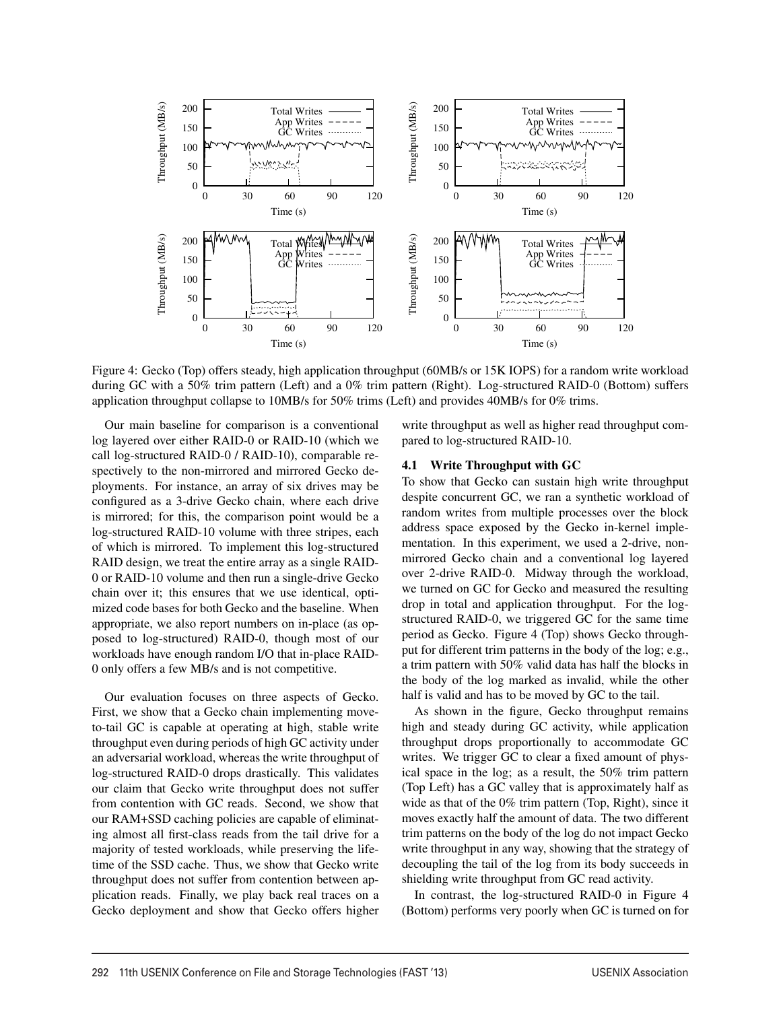

Figure 4: Gecko (Top) offers steady, high application throughput (60MB/s or 15K IOPS) for a random write workload during GC with a 50% trim pattern (Left) and a 0% trim pattern (Right). Log-structured RAID-0 (Bottom) suffers application throughput collapse to 10MB/s for 50% trims (Left) and provides 40MB/s for 0% trims.

8

Our main baseline for comparison is a conventional log layered over either RAID-0 or RAID-10 (which we call log-structured RAID-0 / RAID-10), comparable respectively to the non-mirrored and mirrored Gecko deployments. For instance, an array of six drives may be configured as a 3-drive Gecko chain, where each drive is mirrored; for this, the comparison point would be a log-structured RAID-10 volume with three stripes, each of which is mirrored. To implement this log-structured RAID design, we treat the entire array as a single RAID-0 or RAID-10 volume and then run a single-drive Gecko chain over it; this ensures that we use identical, optimized code bases for both Gecko and the baseline. When appropriate, we also report numbers on in-place (as opposed to log-structured) RAID-0, though most of our workloads have enough random I/O that in-place RAID-0 only offers a few MB/s and is not competitive.

Our evaluation focuses on three aspects of Gecko. First, we show that a Gecko chain implementing moveto-tail GC is capable at operating at high, stable write throughput even during periods of high GC activity under an adversarial workload, whereas the write throughput of log-structured RAID-0 drops drastically. This validates our claim that Gecko write throughput does not suffer from contention with GC reads. Second, we show that our RAM+SSD caching policies are capable of eliminating almost all first-class reads from the tail drive for a majority of tested workloads, while preserving the lifetime of the SSD cache. Thus, we show that Gecko write throughput does not suffer from contention between application reads. Finally, we play back real traces on a Gecko deployment and show that Gecko offers higher write throughput as well as higher read throughput compared to log-structured RAID-10.

#### 4.1 Write Throughput with GC

To show that Gecko can sustain high write throughput despite concurrent GC, we ran a synthetic workload of random writes from multiple processes over the block address space exposed by the Gecko in-kernel implementation. In this experiment, we used a 2-drive, nonmirrored Gecko chain and a conventional log layered over 2-drive RAID-0. Midway through the workload, we turned on GC for Gecko and measured the resulting drop in total and application throughput. For the logstructured RAID-0, we triggered GC for the same time period as Gecko. Figure 4 (Top) shows Gecko throughput for different trim patterns in the body of the log; e.g., a trim pattern with 50% valid data has half the blocks in the body of the log marked as invalid, while the other half is valid and has to be moved by GC to the tail.

As shown in the figure, Gecko throughput remains high and steady during GC activity, while application throughput drops proportionally to accommodate GC writes. We trigger GC to clear a fixed amount of physical space in the log; as a result, the 50% trim pattern (Top Left) has a GC valley that is approximately half as wide as that of the 0% trim pattern (Top, Right), since it moves exactly half the amount of data. The two different trim patterns on the body of the log do not impact Gecko write throughput in any way, showing that the strategy of decoupling the tail of the log from its body succeeds in shielding write throughput from GC read activity.

In contrast, the log-structured RAID-0 in Figure 4 (Bottom) performs very poorly when GC is turned on for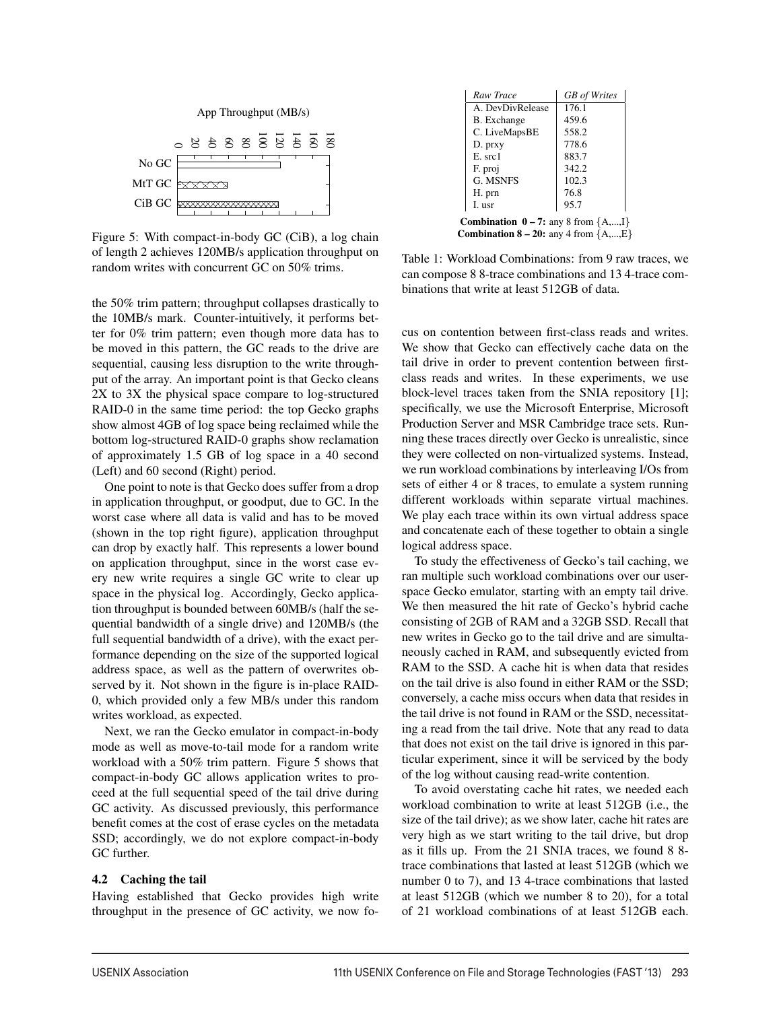

Figure 5: With compact-in-body GC (CiB), a log chain of length 2 achieves 120MB/s application throughput on random writes with concurrent GC on 50% trims.

the 50% trim pattern; throughput collapses drastically to the 10MB/s mark. Counter-intuitively, it performs better for 0% trim pattern; even though more data has to be moved in this pattern, the GC reads to the drive are sequential, causing less disruption to the write throughput of the array. An important point is that Gecko cleans 2X to 3X the physical space compare to log-structured RAID-0 in the same time period: the top Gecko graphs show almost 4GB of log space being reclaimed while the bottom log-structured RAID-0 graphs show reclamation of approximately 1.5 GB of log space in a 40 second (Left) and 60 second (Right) period.

Set  $\alpha \in \mathbb{R}$  15 20 20 20 40 80 100 111 and Storage Technologies (FAST 111) 200 111 and Storage Technologies (FAST 12) 201 and Storage Technologies (FAST 12) 201 and Storage Technologies (FAST 12) 202 60 60 60 60 60 60 One point to note is that Gecko does suffer from a drop in application throughput, or goodput, due to GC. In the worst case where all data is valid and has to be moved (shown in the top right figure), application throughput can drop by exactly half. This represents a lower bound on application throughput, since in the worst case every new write requires a single GC write to clear up space in the physical log. Accordingly, Gecko application throughput is bounded between 60MB/s (half the sequential bandwidth of a single drive) and 120MB/s (the full sequential bandwidth of a drive), with the exact performance depending on the size of the supported logical address space, as well as the pattern of overwrites observed by it. Not shown in the figure is in-place RAID-0, which provided only a few MB/s under this random writes workload, as expected.

Next, we ran the Gecko emulator in compact-in-body mode as well as move-to-tail mode for a random write workload with a 50% trim pattern. Figure 5 shows that compact-in-body GC allows application writes to proceed at the full sequential speed of the tail drive during GC activity. As discussed previously, this performance benefit comes at the cost of erase cycles on the metadata SSD; accordingly, we do not explore compact-in-body GC further.

#### 4.2 Caching the tail

Having established that Gecko provides high write throughput in the presence of GC activity, we now fo-

| Raw Trace                                                    | <b>GB</b> of Writes |
|--------------------------------------------------------------|---------------------|
| A. DevDivRelease                                             | 176.1               |
| <b>B.</b> Exchange                                           | 459.6               |
| C. LiveMapsBE                                                | 558.2               |
| D. prxy                                                      | 778.6               |
| $E.$ src1                                                    | 883.7               |
| F. proj                                                      | 342.2               |
| G. MSNES                                                     | 102.3               |
| H. prn                                                       | 76.8                |
| I. usr                                                       | 95.7                |
| <b>Combination <math>0 - 7</math>:</b> any 8 from $\{A,,I\}$ |                     |
| <b>Combination 8 – 20:</b> any 4 from $\{A,,E\}$             |                     |

Table 1: Workload Combinations: from 9 raw traces, we can compose 8 8-trace combinations and 13 4-trace combinations that write at least 512GB of data.

cus on contention between first-class reads and writes. We show that Gecko can effectively cache data on the tail drive in order to prevent contention between firstclass reads and writes. In these experiments, we use block-level traces taken from the SNIA repository [1]; specifically, we use the Microsoft Enterprise, Microsoft Production Server and MSR Cambridge trace sets. Running these traces directly over Gecko is unrealistic, since they were collected on non-virtualized systems. Instead, we run workload combinations by interleaving I/Os from sets of either 4 or 8 traces, to emulate a system running different workloads within separate virtual machines. We play each trace within its own virtual address space and concatenate each of these together to obtain a single logical address space.

To study the effectiveness of Gecko's tail caching, we ran multiple such workload combinations over our userspace Gecko emulator, starting with an empty tail drive. We then measured the hit rate of Gecko's hybrid cache consisting of 2GB of RAM and a 32GB SSD. Recall that new writes in Gecko go to the tail drive and are simultaneously cached in RAM, and subsequently evicted from RAM to the SSD. A cache hit is when data that resides on the tail drive is also found in either RAM or the SSD; conversely, a cache miss occurs when data that resides in the tail drive is not found in RAM or the SSD, necessitating a read from the tail drive. Note that any read to data that does not exist on the tail drive is ignored in this particular experiment, since it will be serviced by the body of the log without causing read-write contention.

To avoid overstating cache hit rates, we needed each workload combination to write at least 512GB (i.e., the size of the tail drive); as we show later, cache hit rates are very high as we start writing to the tail drive, but drop as it fills up. From the 21 SNIA traces, we found 8 8 trace combinations that lasted at least 512GB (which we number 0 to 7), and 13 4-trace combinations that lasted at least 512GB (which we number 8 to 20), for a total of 21 workload combinations of at least 512GB each.

<u>.</u>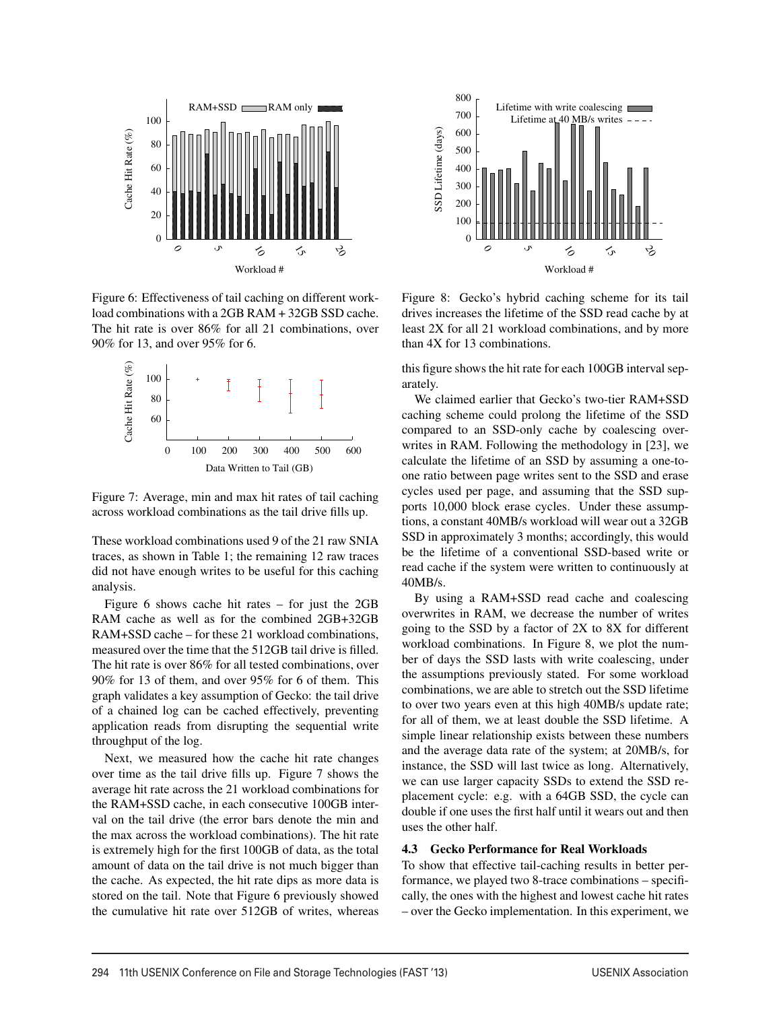

Figure 6: Effectiveness of tail caching on different workload combinations with a 2GB RAM + 32GB SSD cache. The hit rate is over 86% for all 21 combinations, over 90% for 13, and over 95% for 6.



Figure 7: Average, min and max hit rates of tail caching across workload combinations as the tail drive fills up.

These workload combinations used 9 of the 21 raw SNIA traces, as shown in Table 1; the remaining 12 raw traces did not have enough writes to be useful for this caching analysis.

Figure 6 shows cache hit rates – for just the 2GB RAM cache as well as for the combined 2GB+32GB RAM+SSD cache – for these 21 workload combinations, measured over the time that the 512GB tail drive is filled. The hit rate is over 86% for all tested combinations, over 90% for 13 of them, and over 95% for 6 of them. This graph validates a key assumption of Gecko: the tail drive of a chained log can be cached effectively, preventing application reads from disrupting the sequential write throughput of the log.

Next, we measured how the cache hit rate changes over time as the tail drive fills up. Figure 7 shows the average hit rate across the 21 workload combinations for the RAM+SSD cache, in each consecutive 100GB interval on the tail drive (the error bars denote the min and the max across the workload combinations). The hit rate is extremely high for the first 100GB of data, as the total amount of data on the tail drive is not much bigger than the cache. As expected, the hit rate dips as more data is stored on the tail. Note that Figure 6 previously showed the cumulative hit rate over 512GB of writes, whereas



Figure 8: Gecko's hybrid caching scheme for its tail drives increases the lifetime of the SSD read cache by at least 2X for all 21 workload combinations, and by more than 4X for 13 combinations.

this figure shows the hit rate for each 100GB interval separately.

We claimed earlier that Gecko's two-tier RAM+SSD caching scheme could prolong the lifetime of the SSD compared to an SSD-only cache by coalescing overwrites in RAM. Following the methodology in [23], we calculate the lifetime of an SSD by assuming a one-toone ratio between page writes sent to the SSD and erase cycles used per page, and assuming that the SSD supports 10,000 block erase cycles. Under these assumptions, a constant 40MB/s workload will wear out a 32GB SSD in approximately 3 months; accordingly, this would be the lifetime of a conventional SSD-based write or read cache if the system were written to continuously at 40MB/s.

By using a RAM+SSD read cache and coalescing overwrites in RAM, we decrease the number of writes going to the SSD by a factor of 2X to 8X for different workload combinations. In Figure 8, we plot the number of days the SSD lasts with write coalescing, under the assumptions previously stated. For some workload combinations, we are able to stretch out the SSD lifetime to over two years even at this high 40MB/s update rate; for all of them, we at least double the SSD lifetime. A simple linear relationship exists between these numbers and the average data rate of the system; at 20MB/s, for instance, the SSD will last twice as long. Alternatively, we can use larger capacity SSDs to extend the SSD replacement cycle: e.g. with a 64GB SSD, the cycle can double if one uses the first half until it wears out and then uses the other half.

#### 4.3 Gecko Performance for Real Workloads

To show that effective tail-caching results in better performance, we played two 8-trace combinations – specifically, the ones with the highest and lowest cache hit rates – over the Gecko implementation. In this experiment, we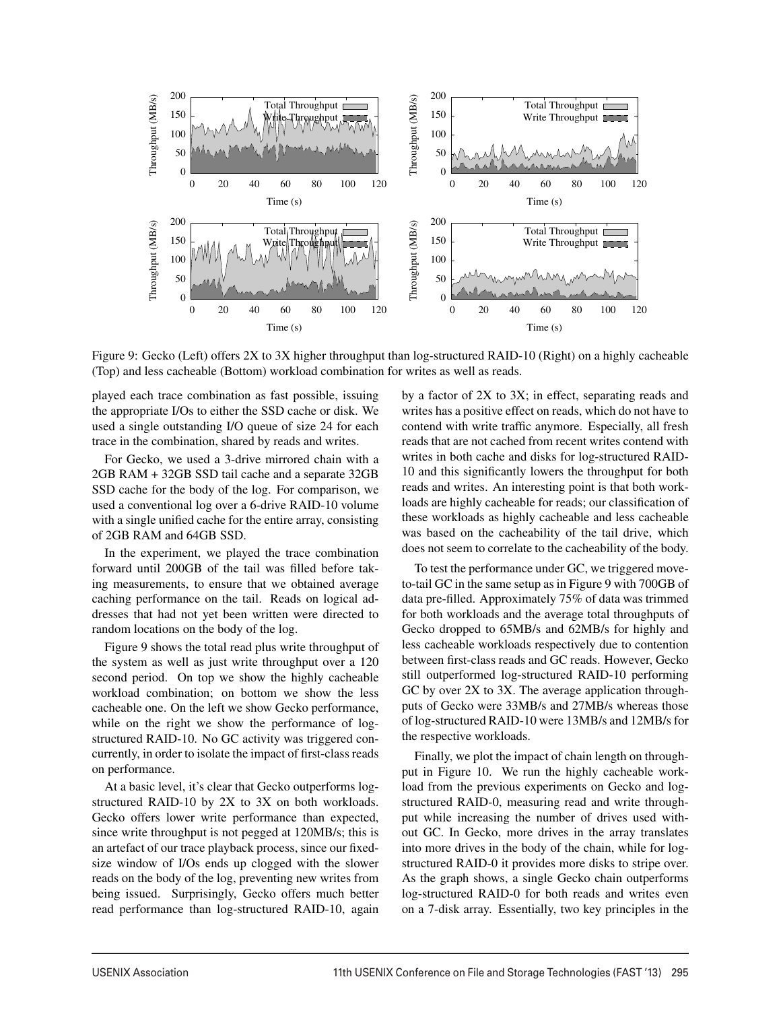

Figure 9: Gecko (Left) offers 2X to 3X higher throughput than log-structured RAID-10 (Right) on a highly cacheable (Top) and less cacheable (Bottom) workload combination for writes as well as reads.

 $\overline{1}$ 

played each trace combination as fast possible, issuing the appropriate I/Os to either the SSD cache or disk. We used a single outstanding I/O queue of size 24 for each trace in the combination, shared by reads and writes.

For Gecko, we used a 3-drive mirrored chain with a 2GB RAM + 32GB SSD tail cache and a separate 32GB SSD cache for the body of the log. For comparison, we used a conventional log over a 6-drive RAID-10 volume with a single unified cache for the entire array, consisting of 2GB RAM and 64GB SSD.

In the experiment, we played the trace combination forward until 200GB of the tail was filled before taking measurements, to ensure that we obtained average caching performance on the tail. Reads on logical addresses that had not yet been written were directed to random locations on the body of the log.

Figure 9 shows the total read plus write throughput of the system as well as just write throughput over a 120 second period. On top we show the highly cacheable workload combination; on bottom we show the less cacheable one. On the left we show Gecko performance, while on the right we show the performance of logstructured RAID-10. No GC activity was triggered concurrently, in order to isolate the impact of first-class reads on performance.

At a basic level, it's clear that Gecko outperforms logstructured RAID-10 by 2X to 3X on both workloads. Gecko offers lower write performance than expected, since write throughput is not pegged at 120MB/s; this is an artefact of our trace playback process, since our fixedsize window of I/Os ends up clogged with the slower reads on the body of the log, preventing new writes from being issued. Surprisingly, Gecko offers much better read performance than log-structured RAID-10, again by a factor of 2X to 3X; in effect, separating reads and writes has a positive effect on reads, which do not have to contend with write traffic anymore. Especially, all fresh reads that are not cached from recent writes contend with writes in both cache and disks for log-structured RAID-10 and this significantly lowers the throughput for both reads and writes. An interesting point is that both workloads are highly cacheable for reads; our classification of these workloads as highly cacheable and less cacheable was based on the cacheability of the tail drive, which does not seem to correlate to the cacheability of the body.

To test the performance under GC, we triggered moveto-tail GC in the same setup as in Figure 9 with 700GB of data pre-filled. Approximately 75% of data was trimmed for both workloads and the average total throughputs of Gecko dropped to 65MB/s and 62MB/s for highly and less cacheable workloads respectively due to contention between first-class reads and GC reads. However, Gecko still outperformed log-structured RAID-10 performing GC by over 2X to 3X. The average application throughputs of Gecko were 33MB/s and 27MB/s whereas those of log-structured RAID-10 were 13MB/s and 12MB/s for the respective workloads.

Finally, we plot the impact of chain length on throughput in Figure 10. We run the highly cacheable workload from the previous experiments on Gecko and logstructured RAID-0, measuring read and write throughput while increasing the number of drives used without GC. In Gecko, more drives in the array translates into more drives in the body of the chain, while for logstructured RAID-0 it provides more disks to stripe over. As the graph shows, a single Gecko chain outperforms log-structured RAID-0 for both reads and writes even on a 7-disk array. Essentially, two key principles in the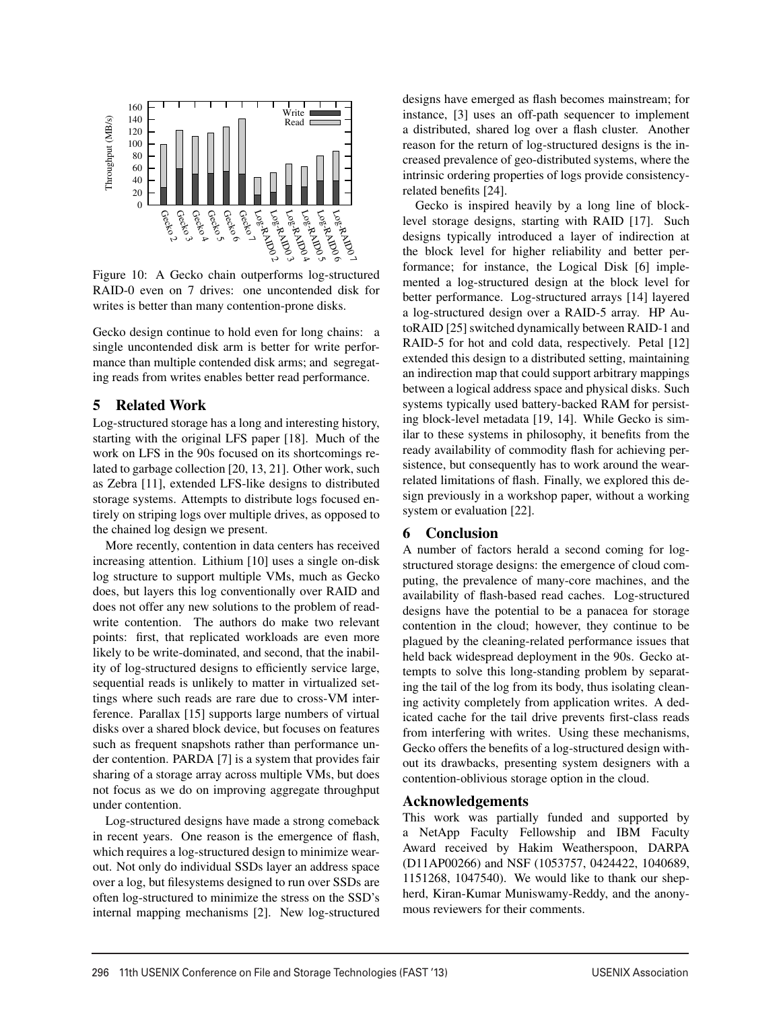

Figure 10: A Gecko chain outperforms log-structured RAID-0 even on 7 drives: one uncontended disk for writes is better than many contention-prone disks.

Gecko design continue to hold even for long chains: a single uncontended disk arm is better for write performance than multiple contended disk arms; and segregating reads from writes enables better read performance.

## 5 Related Work

Log-structured storage has a long and interesting history, starting with the original LFS paper [18]. Much of the work on LFS in the 90s focused on its shortcomings related to garbage collection [20, 13, 21]. Other work, such as Zebra [11], extended LFS-like designs to distributed storage systems. Attempts to distribute logs focused entirely on striping logs over multiple drives, as opposed to the chained log design we present.

More recently, contention in data centers has received increasing attention. Lithium [10] uses a single on-disk log structure to support multiple VMs, much as Gecko does, but layers this log conventionally over RAID and does not offer any new solutions to the problem of readwrite contention. The authors do make two relevant points: first, that replicated workloads are even more likely to be write-dominated, and second, that the inability of log-structured designs to efficiently service large, sequential reads is unlikely to matter in virtualized settings where such reads are rare due to cross-VM interference. Parallax [15] supports large numbers of virtual disks over a shared block device, but focuses on features such as frequent snapshots rather than performance under contention. PARDA [7] is a system that provides fair sharing of a storage array across multiple VMs, but does not focus as we do on improving aggregate throughput under contention.

Log-structured designs have made a strong comeback in recent years. One reason is the emergence of flash, which requires a log-structured design to minimize wearout. Not only do individual SSDs layer an address space over a log, but filesystems designed to run over SSDs are often log-structured to minimize the stress on the SSD's internal mapping mechanisms [2]. New log-structured designs have emerged as flash becomes mainstream; for instance, [3] uses an off-path sequencer to implement a distributed, shared log over a flash cluster. Another reason for the return of log-structured designs is the increased prevalence of geo-distributed systems, where the intrinsic ordering properties of logs provide consistencyrelated benefits [24].

Gecko is inspired heavily by a long line of blocklevel storage designs, starting with RAID [17]. Such designs typically introduced a layer of indirection at the block level for higher reliability and better performance; for instance, the Logical Disk [6] implemented a log-structured design at the block level for better performance. Log-structured arrays [14] layered a log-structured design over a RAID-5 array. HP AutoRAID [25] switched dynamically between RAID-1 and RAID-5 for hot and cold data, respectively. Petal [12] extended this design to a distributed setting, maintaining an indirection map that could support arbitrary mappings between a logical address space and physical disks. Such systems typically used battery-backed RAM for persisting block-level metadata [19, 14]. While Gecko is similar to these systems in philosophy, it benefits from the ready availability of commodity flash for achieving persistence, but consequently has to work around the wearrelated limitations of flash. Finally, we explored this design previously in a workshop paper, without a working system or evaluation [22].

# 6 Conclusion

A number of factors herald a second coming for logstructured storage designs: the emergence of cloud computing, the prevalence of many-core machines, and the availability of flash-based read caches. Log-structured designs have the potential to be a panacea for storage contention in the cloud; however, they continue to be plagued by the cleaning-related performance issues that held back widespread deployment in the 90s. Gecko attempts to solve this long-standing problem by separating the tail of the log from its body, thus isolating cleaning activity completely from application writes. A dedicated cache for the tail drive prevents first-class reads from interfering with writes. Using these mechanisms, Gecko offers the benefits of a log-structured design without its drawbacks, presenting system designers with a contention-oblivious storage option in the cloud.

# Acknowledgements

12

This work was partially funded and supported by a NetApp Faculty Fellowship and IBM Faculty Award received by Hakim Weatherspoon, DARPA (D11AP00266) and NSF (1053757, 0424422, 1040689, 1151268, 1047540). We would like to thank our shepherd, Kiran-Kumar Muniswamy-Reddy, and the anonymous reviewers for their comments.